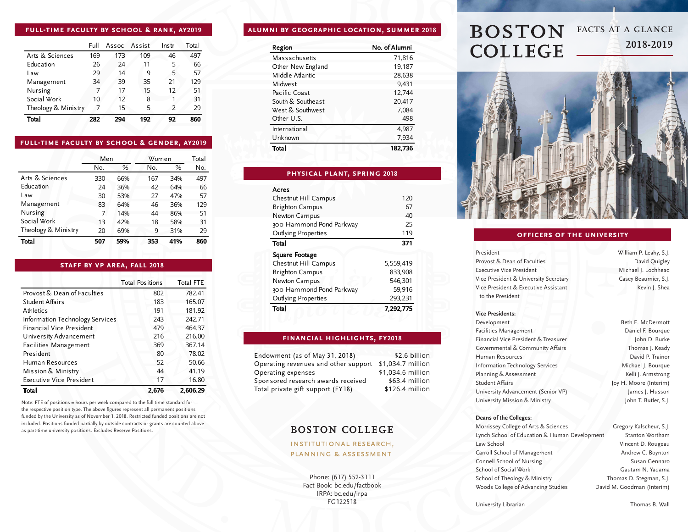### **full-time faculty by school & rank, ay2019**

|                     | Full | Assoc Assist |     | Instr         | Total |
|---------------------|------|--------------|-----|---------------|-------|
| Arts & Sciences     | 169  | 173          | 109 | 46            | 497   |
| Education           | 26   | 24           | 11  | 5             | 66    |
| Law                 | 29   | 14           | 9   | 5             | 57    |
| Management          | 34   | 39           | 35  | 21            | 129   |
| Nursing             | 7    | 17           | 15  | 12            | 51    |
| Social Work         | 10   | 12           | 8   |               | 31    |
| Theology & Ministry |      | 15           | 5   | $\mathcal{P}$ | 29    |
| Total               | 282  | 294          | 192 | 92            | 860   |

### **full-time faculty by school & gender, ay2019**

|                     | Men |     | Women |     | Total |
|---------------------|-----|-----|-------|-----|-------|
|                     | No. | %   | No.   | %   | No.   |
| Arts & Sciences     | 330 | 66% | 167   | 34% | 497   |
| Education           | 24  | 36% | 42    | 64% | 66    |
| Law                 | 30  | 53% | 27    | 47% | 57    |
| Management          | 83  | 64% | 46    | 36% | 129   |
| Nursing             | 7   | 14% | 44    | 86% | 51    |
| Social Work         | 13  | 42% | 18    | 58% | 31    |
| Theology & Ministry | 20  | 69% | 9     | 31% | 29    |
| Total               | 507 | 59% | 353   | 41% | 860   |

### **staff by vp area, fall 2018**

|                                 | <b>Total Positions</b> | <b>Total FTE</b> |
|---------------------------------|------------------------|------------------|
| Provost & Dean of Faculties     | 802                    | 782.41           |
| Student Affairs                 | 183                    | 165.07           |
| Athletics                       | 191                    | 181.92           |
| Information Technology Services | 243                    | 242.71           |
| Financial Vice President        | 479                    | 464.37           |
| University Advancement          | 216                    | 216.00           |
| <b>Facilities Management</b>    | 369                    | 367.14           |
| President                       | 80                     | 78.02            |
| Human Resources                 | 52                     | 50.66            |
| Mission & Ministry              | 44                     | 41.19            |
| Executive Vice President        | 17                     | 16.80            |
| Total                           | 2.676                  | 2.606.29         |

Note: FTE of positions = hours per week compared to the full time standard for the respective position type. The above figures represent all permanent positions funded by the University as of November 1, 2018. Restricted funded positions are not included. Positions funded partially by outside contracts or grants are counted above as part-time university positions. Excludes Reserve Positions.

# **alumni by geographic location, summer 2018**

| Region            | No. of Alumni |
|-------------------|---------------|
| Massachusetts     | 71,816        |
| Other New England | 19,187        |
| Middle Atlantic   | 28,638        |
| Midwest           | 9,431         |
| Pacific Coast     | 12,744        |
| South & Southeast | 20,417        |
| West & Southwest  | 7,084         |
| Other U.S.        | 498           |
| International     | 4.987         |
| Unknown           | 7,934         |
| Total             | 182.736       |

# **physical plant, spring 2018**

#### Acres

| Chestnut Hill Campus     | 120       |
|--------------------------|-----------|
| <b>Brighton Campus</b>   | 67        |
| Newton Campus            | 40        |
| 300 Hammond Pond Parkway | 25        |
| Outlying Properties      | 119       |
| Total                    | 371       |
| Square Footage           |           |
| Chestnut Hill Campus     | 5,559,419 |
| <b>Brighton Campus</b>   | 833,908   |
| Newton Campus            | 546,301   |
| 300 Hammond Pond Parkway | 59,916    |
| Outlying Properties      | 293,231   |
| Total                    | 7,292,775 |
|                          |           |

### **financial highlights, fy2018**

Endowment (as of May 31, 2018) Operating revenues and other support \$1,034.7 million Operating expenses Sponsored research awards received Total private gift support (FY18)

\$2.6 billion \$1,034.6 million \$63.4 million \$126.4 million

# **BOSTON COLLEGE**

# **INSTITUTIONAL RESEARCH,** PLANNING & ASSESSMENT

Phone: (617) 552-3111 Fact Book: bc.edu/factbook IRPA: bc.edu/irpa FG122518

# **BOSTON** FACTS AT A GLANCE **2018-2019 COLLEGE**



# **officers of the university**

President Provost & Dean of Faculties Executive Vice President Vice President & University Secretary Vice President & Executive Assistant to the President

William P. Leahy, S.J. David Quigley Michael J. Lochhead Casey Beaumier, S.J. Kevin J. Shea

# **Vice Presidents:**

Development Facilities Management Financial Vice President & Treasurer Governmental & Community Affairs Human Resources Information Technology Services Planning & Assessment Student Affairs University Advancement (Senior VP) University Mission & Ministry

Beth E. McDermott Daniel F. Bourque John D. Burke Thomas J. Keady David P. Trainor Michael J. Bourque Kelli J. Armstrong Joy H. Moore (Interim) James J. Husson John T. Butler, S.J.

#### **Deans of the Colleges:**

Morrissey College of Arts & Sciences Lynch School of Education & Human Development Law School Carroll School of Management Connell School of Nursing School of Social Work School of Theology & Ministry Woods College of Advancing Studies Gregory Kalscheur, S.J. Stanton Wortham Vincent D. Rougeau Andrew C. Boynton Susan Gennaro Gautam N. Yadama Thomas D. Stegman, S.J. David M. Goodman (Interim)

University Librarian

Thomas B. Wall